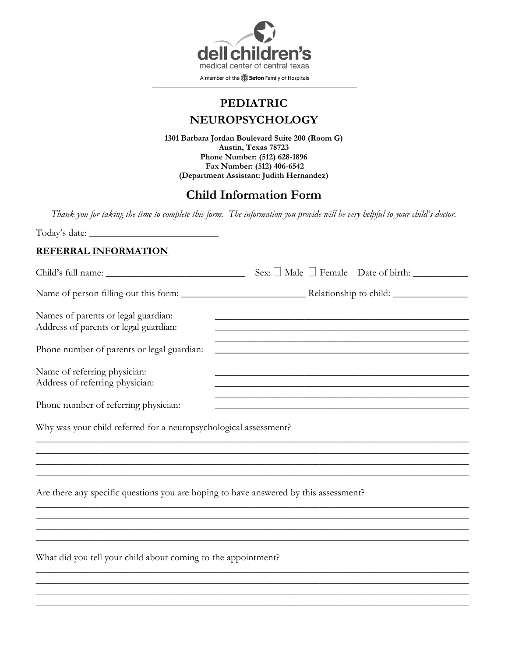

# **PEDIATRIC NEUROPSYCHOLOGY**

**1301 Barbara Jordan Boulevard Suite 200 (Room G) Austin, Texas 78723 Phone Number: (512) 628-1896 Fax Number: (512) 406-6542 (Department Assistant: Judith Hernandez)**

# **Child Information Form**

*Thank you for taking the time to complete this form. The information you provide will be very helpful to your child's doctor.*

Today's date: \_\_\_\_\_\_\_\_\_\_\_\_\_\_\_\_\_\_\_\_\_\_\_\_\_\_

#### **REFERRAL INFORMATION**

|                                                                                      | $Sex: \Box$ Male $\Box$ Female Date of birth: $\Box$                                                                                                                                                                                           |
|--------------------------------------------------------------------------------------|------------------------------------------------------------------------------------------------------------------------------------------------------------------------------------------------------------------------------------------------|
|                                                                                      |                                                                                                                                                                                                                                                |
| Names of parents or legal guardian:<br>Address of parents or legal guardian:         |                                                                                                                                                                                                                                                |
| Phone number of parents or legal guardian:                                           | <u> 1989 - Jan James James James James James James James James James James James James James James James James J</u><br><u> 1989 - Johann Barn, mars ar yn y brening yn y brening yn y brening yn y brening y brening yn y brening y breni</u> |
| Name of referring physician:<br>Address of referring physician:                      | and the control of the control of the control of the control of the control of the control of the control of the                                                                                                                               |
| Phone number of referring physician:                                                 |                                                                                                                                                                                                                                                |
| Why was your child referred for a neuropsychological assessment?                     |                                                                                                                                                                                                                                                |
|                                                                                      |                                                                                                                                                                                                                                                |
|                                                                                      |                                                                                                                                                                                                                                                |
| Are there any specific questions you are hoping to have answered by this assessment? |                                                                                                                                                                                                                                                |
|                                                                                      |                                                                                                                                                                                                                                                |
|                                                                                      |                                                                                                                                                                                                                                                |
| What did you tell your child about coming to the appointment?                        |                                                                                                                                                                                                                                                |
|                                                                                      |                                                                                                                                                                                                                                                |

 $\_$  , and the set of the set of the set of the set of the set of the set of the set of the set of the set of the set of the set of the set of the set of the set of the set of the set of the set of the set of the set of th  $\_$  , and the set of the set of the set of the set of the set of the set of the set of the set of the set of the set of the set of the set of the set of the set of the set of the set of the set of the set of the set of th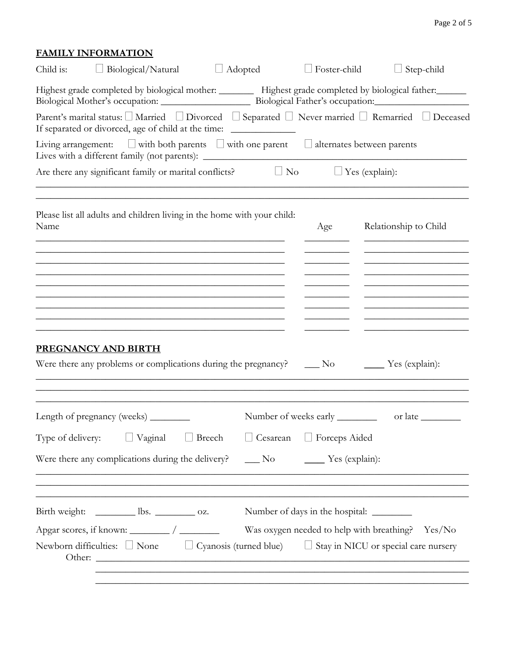## **FAMILY INFORMATION**

| Child is: | $\Box$ Biological/Natural                                                                                                                                                                                                                      | $\Box$        | Adopted   | $\Box$ Foster-child             | $\Box$ Step-child                                                                                                                                                                                    |
|-----------|------------------------------------------------------------------------------------------------------------------------------------------------------------------------------------------------------------------------------------------------|---------------|-----------|---------------------------------|------------------------------------------------------------------------------------------------------------------------------------------------------------------------------------------------------|
|           |                                                                                                                                                                                                                                                |               |           |                                 | Highest grade completed by biological mother: _________ Highest grade completed by biological father: _______                                                                                        |
|           | If separated or divorced, age of child at the time: ____________________________                                                                                                                                                               |               |           |                                 | Parent's marital status: □ Married □ Divorced □ Separated □ Never married □ Remarried □ Deceased                                                                                                     |
|           | Living arrangement: $\Box$ with both parents $\Box$ with one parent $\Box$ alternates between parents<br>Lives with a different family (not parents): ___________________________________                                                      |               |           |                                 |                                                                                                                                                                                                      |
|           | Are there any significant family or marital conflicts?                                                                                                                                                                                         |               | $\Box$ No |                                 | $\Box$ Yes (explain):                                                                                                                                                                                |
| Name      | Please list all adults and children living in the home with your child:                                                                                                                                                                        |               |           | Age                             | Relationship to Child                                                                                                                                                                                |
|           |                                                                                                                                                                                                                                                |               |           |                                 | the contract of the contract of the contract of the contract of the contract of<br><u> 1989 - Johann Barbara, martin da basar a</u>                                                                  |
|           |                                                                                                                                                                                                                                                |               |           |                                 | the control of the control of the control of the control of the control of<br>the control of the control of the control of the control of                                                            |
|           | <u> 1989 - Johann John Stone, market fan de Amerikaanske kommunister oant it fan de Amerikaanske kommunister fan </u><br><u> 1989 - Johann John Stoff, deutscher Stoffen und der Stoffen und der Stoffen und der Stoffen und der Stoffen u</u> |               |           |                                 | <u> 1989 - Johann John Stein, markin fan it ferstjer fan it ferstjer fan it ferstjer fan it ferstjer fan it ferstj</u><br>the control of the control of the control of the control of the control of |
|           | PREGNANCY AND BIRTH<br>Were there any problems or complications during the pregnancy?                                                                                                                                                          |               |           | $\_\_$ No                       | $\frac{1}{2}$ Yes (explain):                                                                                                                                                                         |
|           | Length of pregnancy (weeks) ________                                                                                                                                                                                                           |               |           | Number of weeks early _________ | or late                                                                                                                                                                                              |
|           | Type of delivery: $\Box$ Vaginal $\Box$                                                                                                                                                                                                        | $\Box$ Breech |           | □ Cesarean □ Forceps Aided      |                                                                                                                                                                                                      |
|           | Were there any complications during the delivery? _____ No _______ Yes (explain):                                                                                                                                                              |               |           |                                 |                                                                                                                                                                                                      |
|           | ,我们也不能在这里的时候,我们也不能在这里的时候,我们也不能会在这里的时候,我们也不能会在这里的时候,我们也不能会在这里的时候,我们也不能会在这里的时候,我们也不<br>Birth weight: <u>Use Ibs.</u> Oz.                                                                                                                         |               |           |                                 |                                                                                                                                                                                                      |
|           | Other:                                                                                                                                                                                                                                         |               |           |                                 | Was oxygen needed to help with breathing? Yes/No<br>Newborn difficulties: $\Box$ None $\Box$ Cyanosis (turned blue) $\Box$ Stay in NICU or special care nursery                                      |
|           |                                                                                                                                                                                                                                                |               |           |                                 |                                                                                                                                                                                                      |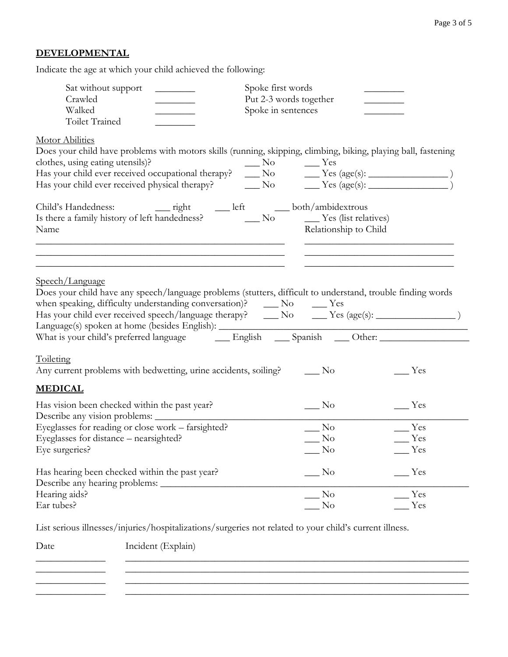## **DEVELOPMENTAL**

Indicate the age at which your child achieved the following:

| Sat without support<br>Crawled<br>Walked<br><b>Toilet Trained</b>                                                                                                                                                                                                                                        | Spoke first words<br>Put 2-3 words together<br>Spoke in sentences |                       |                                         |
|----------------------------------------------------------------------------------------------------------------------------------------------------------------------------------------------------------------------------------------------------------------------------------------------------------|-------------------------------------------------------------------|-----------------------|-----------------------------------------|
| <b>Motor Abilities</b><br>Does your child have problems with motors skills (running, skipping, climbing, biking, playing ball, fastening<br>clothes, using eating utensils)?                                                                                                                             | $\frac{1}{100}$ No $\frac{1}{100}$ Yes                            |                       |                                         |
| Name                                                                                                                                                                                                                                                                                                     |                                                                   | Relationship to Child |                                         |
| Speech/Language<br>Does your child have any speech/language problems (stutters, difficult to understand, trouble finding words<br>Language(s) spoken at home (besides English): ___________________________________<br>What is your child's preferred language English __ Spanish __ Other: ____________ |                                                                   |                       |                                         |
| Toileting<br>Any current problems with bedwetting, urine accidents, soiling?                                                                                                                                                                                                                             | $\_\_$ No                                                         |                       | __ Yes                                  |
| <b>MEDICAL</b>                                                                                                                                                                                                                                                                                           |                                                                   |                       |                                         |
| Has vision been checked within the past year?<br>Describe any vision problems:                                                                                                                                                                                                                           | $\_\_$ No                                                         |                       | $\equiv$ Yes                            |
| Eyeglasses for reading or close work - farsighted?<br>Eyeglasses for distance - nearsighted?<br>Eye surgeries?                                                                                                                                                                                           | $\overline{\phantom{1}}$ No<br>N <sub>o</sub><br>No.              |                       | $\equiv$ Yes<br>$\mathbb{Z}$ Yes<br>Yes |
| Has hearing been checked within the past year?<br>Describe any hearing problems:                                                                                                                                                                                                                         | $\rm No$                                                          |                       | Yes                                     |
| Hearing aids?<br>Ear tubes?                                                                                                                                                                                                                                                                              | $\rm No$<br>No                                                    |                       | Yes<br>Yes                              |

List serious illnesses/injuries/hospitalizations/surgeries not related to your child's current illness.

\_\_\_\_\_\_\_\_\_\_\_\_\_\_ \_\_\_\_\_\_\_\_\_\_\_\_\_\_\_\_\_\_\_\_\_\_\_\_\_\_\_\_\_\_\_\_\_\_\_\_\_\_\_\_\_\_\_\_\_\_\_\_\_\_\_\_\_\_\_\_\_\_\_\_\_\_\_\_\_\_\_\_\_  $\overline{\phantom{a}}$  , and the contribution of the contribution of the contribution of the contribution of the contribution of the contribution of the contribution of the contribution of the contribution of the contribution of the \_\_\_\_\_\_\_\_\_\_\_\_\_\_ \_\_\_\_\_\_\_\_\_\_\_\_\_\_\_\_\_\_\_\_\_\_\_\_\_\_\_\_\_\_\_\_\_\_\_\_\_\_\_\_\_\_\_\_\_\_\_\_\_\_\_\_\_\_\_\_\_\_\_\_\_\_\_\_\_\_\_\_\_ \_\_\_\_\_\_\_\_\_\_\_\_\_\_ \_\_\_\_\_\_\_\_\_\_\_\_\_\_\_\_\_\_\_\_\_\_\_\_\_\_\_\_\_\_\_\_\_\_\_\_\_\_\_\_\_\_\_\_\_\_\_\_\_\_\_\_\_\_\_\_\_\_\_\_\_\_\_\_\_\_\_\_\_

Date Incident (Explain)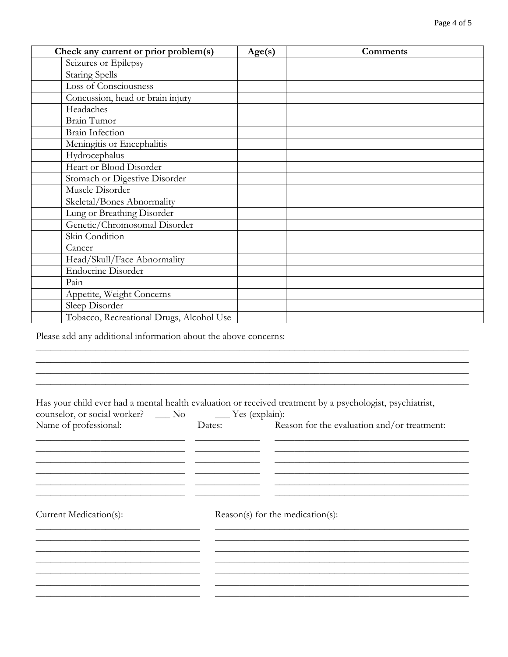| Check any current or prior problem(s)    | Age(s) | Comments |
|------------------------------------------|--------|----------|
| Seizures or Epilepsy                     |        |          |
| <b>Staring Spells</b>                    |        |          |
| Loss of Consciousness                    |        |          |
| Concussion, head or brain injury         |        |          |
| Headaches                                |        |          |
| Brain Tumor                              |        |          |
| <b>Brain Infection</b>                   |        |          |
| Meningitis or Encephalitis               |        |          |
| Hydrocephalus                            |        |          |
| Heart or Blood Disorder                  |        |          |
| Stomach or Digestive Disorder            |        |          |
| Muscle Disorder                          |        |          |
| Skeletal/Bones Abnormality               |        |          |
| Lung or Breathing Disorder               |        |          |
| Genetic/Chromosomal Disorder             |        |          |
| Skin Condition                           |        |          |
| Cancer                                   |        |          |
| Head/Skull/Face Abnormality              |        |          |
| <b>Endocrine Disorder</b>                |        |          |
| Pain                                     |        |          |
| Appetite, Weight Concerns                |        |          |
| Sleep Disorder                           |        |          |
| Tobacco, Recreational Drugs, Alcohol Use |        |          |

Please add any additional information about the above concerns:

Has your child ever had a mental health evaluation or received treatment by a psychologist, psychiatrist,

 $\_$  , and the set of the set of the set of the set of the set of the set of the set of the set of the set of the set of the set of the set of the set of the set of the set of the set of the set of the set of the set of th  $\_$  , and the set of the set of the set of the set of the set of the set of the set of the set of the set of the set of the set of the set of the set of the set of the set of the set of the set of the set of the set of th  $\_$  , and the set of the set of the set of the set of the set of the set of the set of the set of the set of the set of the set of the set of the set of the set of the set of the set of the set of the set of the set of th  $\_$  , and the set of the set of the set of the set of the set of the set of the set of the set of the set of the set of the set of the set of the set of the set of the set of the set of the set of the set of the set of th

| counselor, or social worker? ___ No _____ Yes (explain): |                                    |                                             |  |  |
|----------------------------------------------------------|------------------------------------|---------------------------------------------|--|--|
| Name of professional:                                    | Dates:                             | Reason for the evaluation and/or treatment: |  |  |
|                                                          |                                    |                                             |  |  |
|                                                          |                                    |                                             |  |  |
|                                                          |                                    |                                             |  |  |
|                                                          |                                    |                                             |  |  |
| Current Medication(s):                                   | $Reason(s)$ for the medication(s): |                                             |  |  |
|                                                          |                                    |                                             |  |  |
|                                                          |                                    |                                             |  |  |
|                                                          |                                    |                                             |  |  |
|                                                          |                                    |                                             |  |  |
|                                                          |                                    |                                             |  |  |